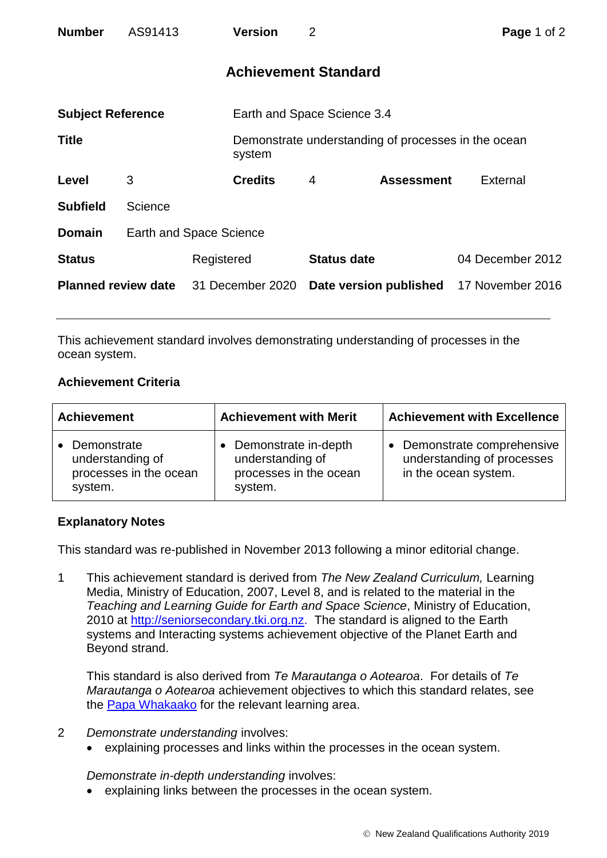| <b>Number</b>              | AS91413 |                                | <b>Version</b>              | $\overline{2}$              |                                                     | <b>Page 1 of 2</b> |  |
|----------------------------|---------|--------------------------------|-----------------------------|-----------------------------|-----------------------------------------------------|--------------------|--|
|                            |         |                                |                             | <b>Achievement Standard</b> |                                                     |                    |  |
| <b>Subject Reference</b>   |         |                                | Earth and Space Science 3.4 |                             |                                                     |                    |  |
| <b>Title</b>               |         |                                | system                      |                             | Demonstrate understanding of processes in the ocean |                    |  |
| Level                      | 3       |                                | <b>Credits</b>              | 4                           | <b>Assessment</b>                                   | External           |  |
| <b>Subfield</b>            | Science |                                |                             |                             |                                                     |                    |  |
| <b>Domain</b>              |         | <b>Earth and Space Science</b> |                             |                             |                                                     |                    |  |
| <b>Status</b>              |         | Registered                     |                             | <b>Status date</b>          |                                                     | 04 December 2012   |  |
| <b>Planned review date</b> |         |                                | 31 December 2020            |                             | Date version published                              | 17 November 2016   |  |

This achievement standard involves demonstrating understanding of processes in the ocean system.

## **Achievement Criteria**

| <b>Achievement</b>                                                   | <b>Achievement with Merit</b>                                                 | <b>Achievement with Excellence</b>                                                |  |
|----------------------------------------------------------------------|-------------------------------------------------------------------------------|-----------------------------------------------------------------------------------|--|
| Demonstrate<br>understanding of<br>processes in the ocean<br>system. | Demonstrate in-depth<br>understanding of<br>processes in the ocean<br>system. | • Demonstrate comprehensive<br>understanding of processes<br>in the ocean system. |  |

## **Explanatory Notes**

This standard was re-published in November 2013 following a minor editorial change.

1 This achievement standard is derived from *The New Zealand Curriculum,* Learning Media, Ministry of Education, 2007, Level 8, and is related to the material in the *Teaching and Learning Guide for Earth and Space Science*, Ministry of Education, 2010 at [http://seniorsecondary.tki.org.nz.](http://seniorsecondary.tki.org.nz/) The standard is aligned to the Earth systems and Interacting systems achievement objective of the Planet Earth and Beyond strand.

This standard is also derived from *Te Marautanga o Aotearoa*. For details of *Te Marautanga o Aotearoa* achievement objectives to which this standard relates, see the [Papa Whakaako](http://tmoa.tki.org.nz/Te-Marautanga-o-Aotearoa/Taumata-Matauranga-a-Motu-Ka-Taea) for the relevant learning area.

- 2 *Demonstrate understanding* involves:
	- explaining processes and links within the processes in the ocean system.

*Demonstrate in-depth understanding* involves:

explaining links between the processes in the ocean system.